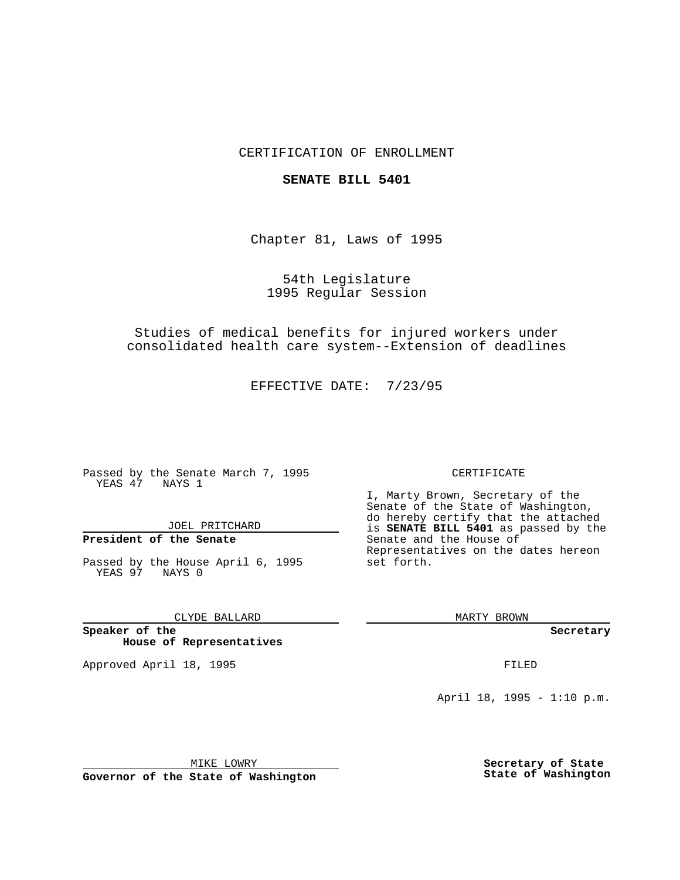## CERTIFICATION OF ENROLLMENT

### **SENATE BILL 5401**

Chapter 81, Laws of 1995

54th Legislature 1995 Regular Session

Studies of medical benefits for injured workers under consolidated health care system--Extension of deadlines

EFFECTIVE DATE: 7/23/95

Passed by the Senate March 7, 1995 YEAS 47 NAYS 1

JOEL PRITCHARD

# **President of the Senate**

Passed by the House April 6, 1995 YEAS 97 NAYS 0

CLYDE BALLARD

**Speaker of the House of Representatives**

Approved April 18, 1995 FILED

#### CERTIFICATE

I, Marty Brown, Secretary of the Senate of the State of Washington, do hereby certify that the attached is **SENATE BILL 5401** as passed by the Senate and the House of Representatives on the dates hereon set forth.

MARTY BROWN

**Secretary**

April 18, 1995 - 1:10 p.m.

MIKE LOWRY **Governor of the State of Washington** **Secretary of State State of Washington**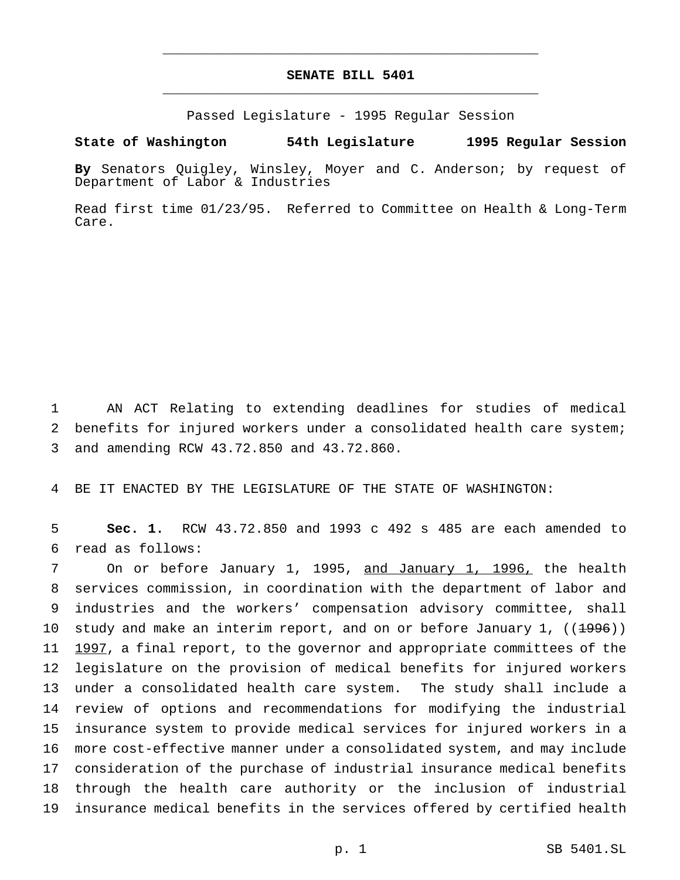# **SENATE BILL 5401** \_\_\_\_\_\_\_\_\_\_\_\_\_\_\_\_\_\_\_\_\_\_\_\_\_\_\_\_\_\_\_\_\_\_\_\_\_\_\_\_\_\_\_\_\_\_\_

\_\_\_\_\_\_\_\_\_\_\_\_\_\_\_\_\_\_\_\_\_\_\_\_\_\_\_\_\_\_\_\_\_\_\_\_\_\_\_\_\_\_\_\_\_\_\_

Passed Legislature - 1995 Regular Session

### **State of Washington 54th Legislature 1995 Regular Session**

**By** Senators Quigley, Winsley, Moyer and C. Anderson; by request of Department of Labor & Industries

Read first time 01/23/95. Referred to Committee on Health & Long-Term Care.

1 AN ACT Relating to extending deadlines for studies of medical 2 benefits for injured workers under a consolidated health care system; 3 and amending RCW 43.72.850 and 43.72.860.

4 BE IT ENACTED BY THE LEGISLATURE OF THE STATE OF WASHINGTON:

5 **Sec. 1.** RCW 43.72.850 and 1993 c 492 s 485 are each amended to 6 read as follows:

7 On or before January 1, 1995, and January 1, 1996, the health services commission, in coordination with the department of labor and industries and the workers' compensation advisory committee, shall 10 study and make an interim report, and on or before January 1,  $((1.996))$ 11 1997, a final report, to the governor and appropriate committees of the legislature on the provision of medical benefits for injured workers under a consolidated health care system. The study shall include a review of options and recommendations for modifying the industrial insurance system to provide medical services for injured workers in a more cost-effective manner under a consolidated system, and may include consideration of the purchase of industrial insurance medical benefits through the health care authority or the inclusion of industrial insurance medical benefits in the services offered by certified health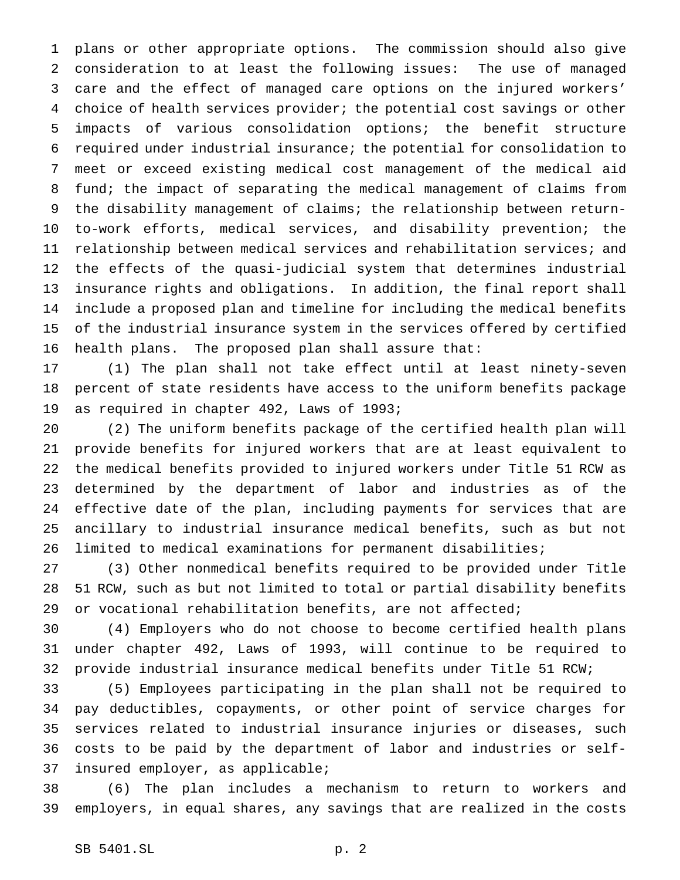plans or other appropriate options. The commission should also give consideration to at least the following issues: The use of managed care and the effect of managed care options on the injured workers' choice of health services provider; the potential cost savings or other impacts of various consolidation options; the benefit structure required under industrial insurance; the potential for consolidation to meet or exceed existing medical cost management of the medical aid fund; the impact of separating the medical management of claims from the disability management of claims; the relationship between return- to-work efforts, medical services, and disability prevention; the relationship between medical services and rehabilitation services; and the effects of the quasi-judicial system that determines industrial insurance rights and obligations. In addition, the final report shall include a proposed plan and timeline for including the medical benefits of the industrial insurance system in the services offered by certified health plans. The proposed plan shall assure that:

 (1) The plan shall not take effect until at least ninety-seven percent of state residents have access to the uniform benefits package as required in chapter 492, Laws of 1993;

 (2) The uniform benefits package of the certified health plan will provide benefits for injured workers that are at least equivalent to the medical benefits provided to injured workers under Title 51 RCW as determined by the department of labor and industries as of the effective date of the plan, including payments for services that are ancillary to industrial insurance medical benefits, such as but not limited to medical examinations for permanent disabilities;

 (3) Other nonmedical benefits required to be provided under Title 51 RCW, such as but not limited to total or partial disability benefits or vocational rehabilitation benefits, are not affected;

 (4) Employers who do not choose to become certified health plans under chapter 492, Laws of 1993, will continue to be required to provide industrial insurance medical benefits under Title 51 RCW;

 (5) Employees participating in the plan shall not be required to pay deductibles, copayments, or other point of service charges for services related to industrial insurance injuries or diseases, such costs to be paid by the department of labor and industries or self-insured employer, as applicable;

 (6) The plan includes a mechanism to return to workers and employers, in equal shares, any savings that are realized in the costs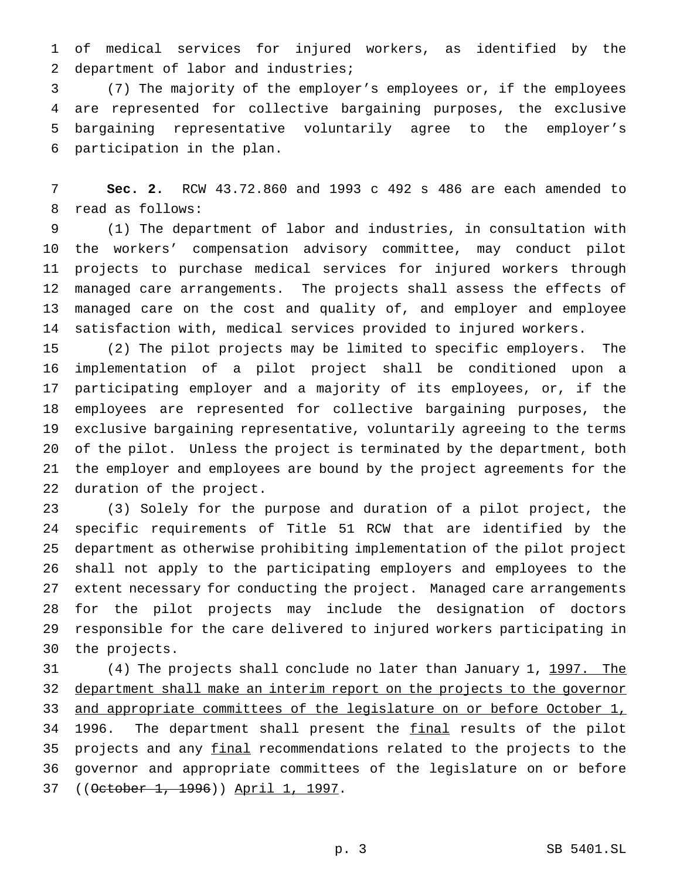of medical services for injured workers, as identified by the department of labor and industries;

 (7) The majority of the employer's employees or, if the employees are represented for collective bargaining purposes, the exclusive bargaining representative voluntarily agree to the employer's participation in the plan.

 **Sec. 2.** RCW 43.72.860 and 1993 c 492 s 486 are each amended to read as follows:

 (1) The department of labor and industries, in consultation with the workers' compensation advisory committee, may conduct pilot projects to purchase medical services for injured workers through managed care arrangements. The projects shall assess the effects of managed care on the cost and quality of, and employer and employee satisfaction with, medical services provided to injured workers.

 (2) The pilot projects may be limited to specific employers. The implementation of a pilot project shall be conditioned upon a participating employer and a majority of its employees, or, if the employees are represented for collective bargaining purposes, the exclusive bargaining representative, voluntarily agreeing to the terms of the pilot. Unless the project is terminated by the department, both the employer and employees are bound by the project agreements for the duration of the project.

 (3) Solely for the purpose and duration of a pilot project, the specific requirements of Title 51 RCW that are identified by the department as otherwise prohibiting implementation of the pilot project shall not apply to the participating employers and employees to the extent necessary for conducting the project. Managed care arrangements for the pilot projects may include the designation of doctors responsible for the care delivered to injured workers participating in the projects.

31 (4) The projects shall conclude no later than January 1, 1997. The department shall make an interim report on the projects to the governor 33 and appropriate committees of the legislature on or before October 1, 34 1996. The department shall present the final results of the pilot 35 projects and any final recommendations related to the projects to the governor and appropriate committees of the legislature on or before 37 ((October 1, 1996)) April 1, 1997.